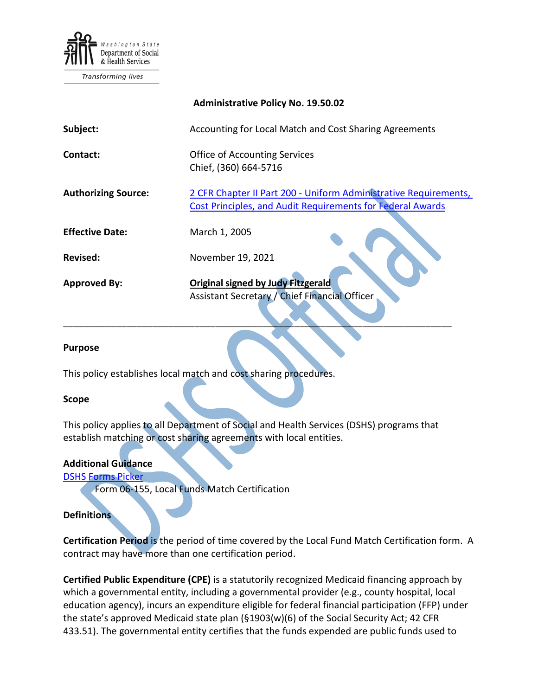

Transforming lives

|                            | <b>Administrative Policy No. 19.50.02</b>                                                                                             |
|----------------------------|---------------------------------------------------------------------------------------------------------------------------------------|
| Subject:                   | Accounting for Local Match and Cost Sharing Agreements                                                                                |
| Contact:                   | <b>Office of Accounting Services</b><br>Chief, (360) 664-5716                                                                         |
| <b>Authorizing Source:</b> | 2 CFR Chapter II Part 200 - Uniform Administrative Requirements,<br><b>Cost Principles, and Audit Requirements for Federal Awards</b> |
| <b>Effective Date:</b>     | March 1, 2005                                                                                                                         |
| <b>Revised:</b>            | November 19, 2021                                                                                                                     |
| <b>Approved By:</b>        | <b>Original signed by Judy Fitzgerald</b><br>Assistant Secretary / Chief Financial Officer                                            |

## **Purpose**

This policy establishes local match and cost sharing procedures.

## **Scope**

This policy applies to all Department of Social and Health Services (DSHS) programs that establish matching or cost sharing agreements with local entities.

\_\_\_\_\_\_\_\_\_\_\_\_\_\_\_\_\_\_\_\_\_\_\_\_\_\_\_\_\_\_\_\_\_\_\_\_\_\_\_\_\_\_\_\_\_\_\_\_\_\_\_\_\_\_\_\_\_\_\_\_\_\_\_\_\_\_\_\_\_\_\_\_\_\_

## **Additional Guidance**

[DSHS Forms Picker](http://forms.dshs.wa.lcl/)

Form 06-155, Local Funds Match Certification

#### **Definitions**

**Certification Period** is the period of time covered by the Local Fund Match Certification form. A contract may have more than one certification period.

**Certified Public Expenditure (CPE)** is a statutorily recognized Medicaid financing approach by which a governmental entity, including a governmental provider (e.g., county hospital, local education agency), incurs an expenditure eligible for federal financial participation (FFP) under the state's approved Medicaid state plan (§1903(w)(6) of the Social Security Act; 42 CFR 433.51). The governmental entity certifies that the funds expended are public funds used to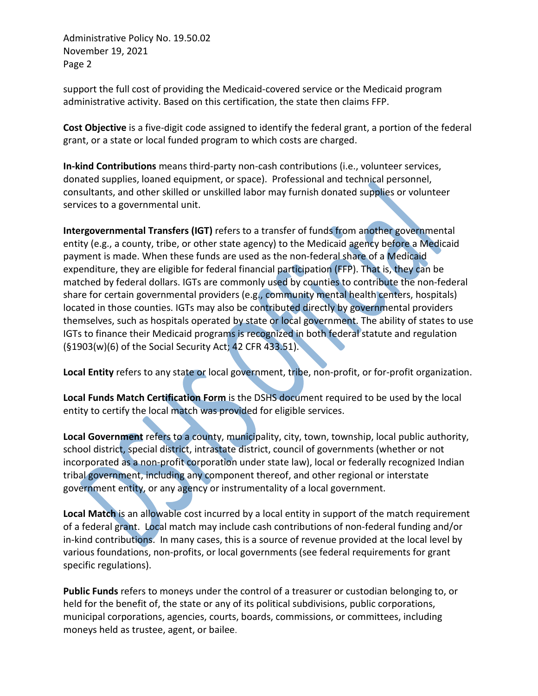support the full cost of providing the Medicaid-covered service or the Medicaid program administrative activity. Based on this certification, the state then claims FFP.

**Cost Objective** is a five-digit code assigned to identify the federal grant, a portion of the federal grant, or a state or local funded program to which costs are charged.

**In-kind Contributions** means third-party non-cash contributions (i.e., volunteer services, donated supplies, loaned equipment, or space).Professional and technical personnel, consultants, and other skilled or unskilled labor may furnish donated supplies or volunteer services to a governmental unit.

**Intergovernmental Transfers (IGT)** refers to a transfer of funds from another governmental entity (e.g., a county, tribe, or other state agency) to the Medicaid agency before a Medicaid payment is made. When these funds are used as the non-federal share of a Medicaid expenditure, they are eligible for federal financial participation (FFP). That is, they can be matched by federal dollars. IGTs are commonly used by counties to contribute the non-federal share for certain governmental providers (e.g., community mental health centers, hospitals) located in those counties. IGTs may also be contributed directly by governmental providers themselves, such as hospitals operated by state or local government. The ability of states to use IGTs to finance their Medicaid programs is recognized in both federal statute and regulation (§1903(w)(6) of the Social Security Act; 42 CFR 433.51).

**Local Entity** refers to any state or local government, tribe, non-profit, or for-profit organization.

**Local Funds Match Certification Form** is the DSHS document required to be used by the local entity to certify the local match was provided for eligible services.

**Local Government** refers to a county, municipality, city, town, township, local public authority, school district, special district, intrastate district, council of governments (whether or not incorporated as a non-profit corporation under state law), local or federally recognized Indian tribal government, including any component thereof, and other regional or interstate government entity, or any agency or instrumentality of a local government.

**Local Match** is an allowable cost incurred by a local entity in support of the match requirement of a federal grant. Local match may include cash contributions of non-federal funding and/or in-kind contributions. In many cases, this is a source of revenue provided at the local level by various foundations, non-profits, or local governments (see federal requirements for grant specific regulations).

**Public Funds** refers to moneys under the control of a treasurer or custodian belonging to, or held for the benefit of, the state or any of its political subdivisions, public corporations, municipal corporations, agencies, courts, boards, commissions, or committees, including moneys held as trustee, agent, or bailee.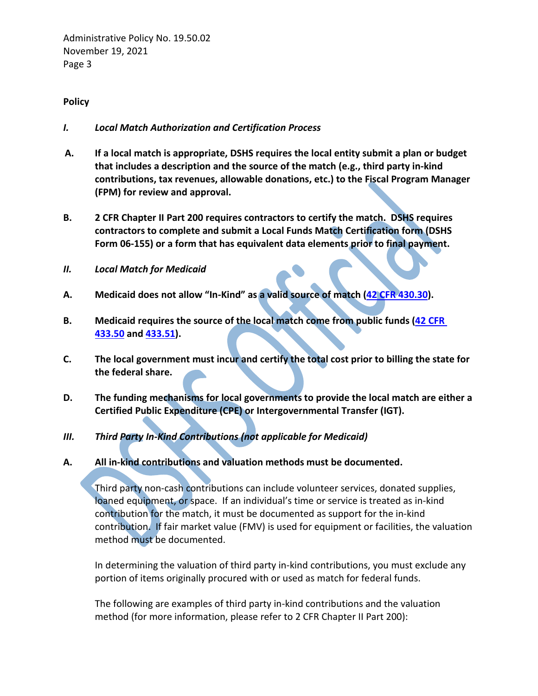## **Policy**

- *I. Local Match Authorization and Certification Process*
- **A. If a local match is appropriate, DSHS requires the local entity submit a plan or budget that includes a description and the source of the match (e.g., third party in-kind contributions, tax revenues, allowable donations, etc.) to the Fiscal Program Manager (FPM) for review and approval.**
- **B. 2 CFR Chapter II Part 200 requires contractors to certify the match. DSHS requires contractors to complete and submit a Local Funds Match Certification form (DSHS Form 06-155) or a form that has equivalent data elements prior to final payment.**
- *II. Local Match for Medicaid*
- **A. Medicaid does not allow "In-Kind" as a valid source of match [\(42 CFR 430.30\)](http://edocket.access.gpo.gov/cfr_2010/octqtr/pdf/42cfr430.30.pdf).**
- **B. Medicaid requires the source of the local match come from public funds [\(42 CFR](http://edocket.access.gpo.gov/cfr_2010/octqtr/pdf/42cfr433.50.pdf)  [433.50](http://edocket.access.gpo.gov/cfr_2010/octqtr/pdf/42cfr433.50.pdf) and [433.51\)](http://edocket.access.gpo.gov/cfr_2010/octqtr/pdf/42cfr433.51.pdf).**
- **C. The local government must incur and certify the total cost prior to billing the state for the federal share.**
- **D. The funding mechanisms for local governments to provide the local match are either a Certified Public Expenditure (CPE) or Intergovernmental Transfer (IGT).**
- *III. Third Party In-Kind Contributions (not applicable for Medicaid)*
- **A. All in-kind contributions and valuation methods must be documented.**

Third party non-cash contributions can include volunteer services, donated supplies, loaned equipment, or space. If an individual's time or service is treated as in-kind contribution for the match, it must be documented as support for the in-kind contribution. If fair market value (FMV) is used for equipment or facilities, the valuation method must be documented.

In determining the valuation of third party in-kind contributions, you must exclude any portion of items originally procured with or used as match for federal funds.

The following are examples of third party in-kind contributions and the valuation method (for more information, please refer to 2 CFR Chapter II Part 200):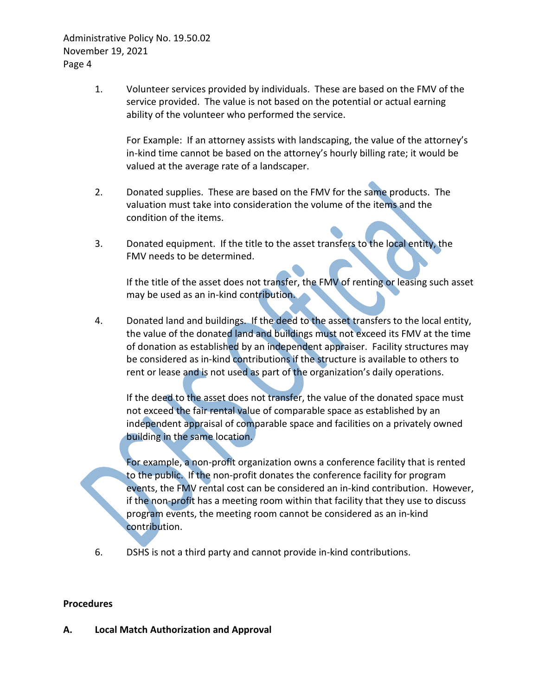> 1. Volunteer services provided by individuals. These are based on the FMV of the service provided. The value is not based on the potential or actual earning ability of the volunteer who performed the service.

For Example: If an attorney assists with landscaping, the value of the attorney's in-kind time cannot be based on the attorney's hourly billing rate; it would be valued at the average rate of a landscaper.

- 2. Donated supplies. These are based on the FMV for the same products. The valuation must take into consideration the volume of the items and the condition of the items.
- 3. Donated equipment. If the title to the asset transfers to the local entity, the FMV needs to be determined.

If the title of the asset does not transfer, the FMV of renting or leasing such asset may be used as an in-kind contribution.

4. Donated land and buildings. If the deed to the asset transfers to the local entity, the value of the donated land and buildings must not exceed its FMV at the time of donation as established by an independent appraiser. Facility structures may be considered as in-kind contributions if the structure is available to others to rent or lease and is not used as part of the organization's daily operations.

If the deed to the asset does not transfer, the value of the donated space must not exceed the fair rental value of comparable space as established by an independent appraisal of comparable space and facilities on a privately owned building in the same location.

For example, a non-profit organization owns a conference facility that is rented to the public. If the non-profit donates the conference facility for program events, the FMV rental cost can be considered an in-kind contribution. However, if the non-profit has a meeting room within that facility that they use to discuss program events, the meeting room cannot be considered as an in-kind contribution.

6. DSHS is not a third party and cannot provide in-kind contributions.

## **Procedures**

**A. Local Match Authorization and Approval**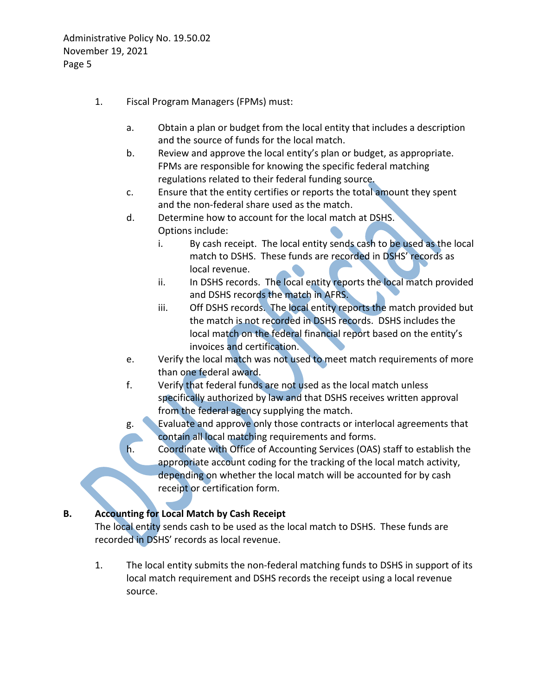- 1. Fiscal Program Managers (FPMs) must:
	- a. Obtain a plan or budget from the local entity that includes a description and the source of funds for the local match.
	- b. Review and approve the local entity's plan or budget, as appropriate. FPMs are responsible for knowing the specific federal matching regulations related to their federal funding source.
	- c. Ensure that the entity certifies or reports the total amount they spent and the non-federal share used as the match.
	- d. Determine how to account for the local match at DSHS. Options include:
		- i. By cash receipt. The local entity sends cash to be used as the local match to DSHS. These funds are recorded in DSHS' records as local revenue.
		- ii. In DSHS records. The local entity reports the local match provided and DSHS records the match in AFRS.
		- iii. Off DSHS records. The local entity reports the match provided but the match is not recorded in DSHS records. DSHS includes the local match on the federal financial report based on the entity's invoices and certification.
	- e. Verify the local match was not used to meet match requirements of more than one federal award.
	- f. Verify that federal funds are not used as the local match unless specifically authorized by law and that DSHS receives written approval from the federal agency supplying the match.
	- g. Evaluate and approve only those contracts or interlocal agreements that contain all local matching requirements and forms.
	- h. Coordinate with Office of Accounting Services (OAS) staff to establish the appropriate account coding for the tracking of the local match activity, depending on whether the local match will be accounted for by cash receipt or certification form.

# **B. Accounting for Local Match by Cash Receipt**

The local entity sends cash to be used as the local match to DSHS. These funds are recorded in DSHS' records as local revenue.

1. The local entity submits the non-federal matching funds to DSHS in support of its local match requirement and DSHS records the receipt using a local revenue source.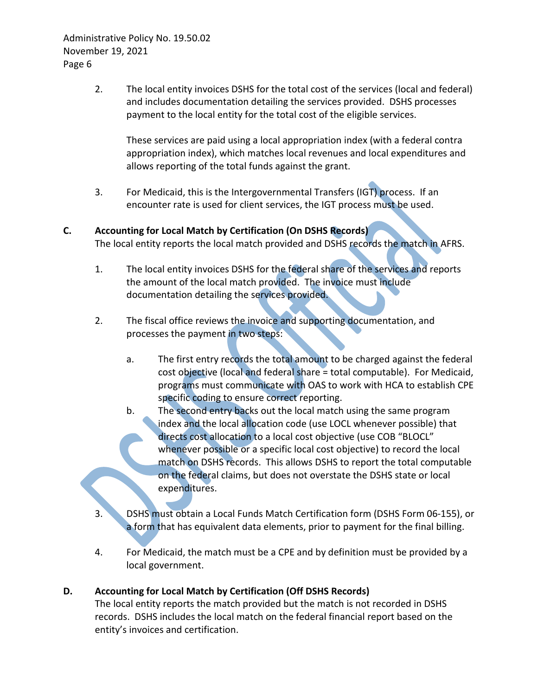> 2. The local entity invoices DSHS for the total cost of the services (local and federal) and includes documentation detailing the services provided. DSHS processes payment to the local entity for the total cost of the eligible services.

These services are paid using a local appropriation index (with a federal contra appropriation index), which matches local revenues and local expenditures and allows reporting of the total funds against the grant.

3. For Medicaid, this is the Intergovernmental Transfers (IGT) process. If an encounter rate is used for client services, the IGT process must be used.

## **C. Accounting for Local Match by Certification (On DSHS Records)**

The local entity reports the local match provided and DSHS records the match in AFRS.

- 1. The local entity invoices DSHS for the federal share of the services and reports the amount of the local match provided. The invoice must include documentation detailing the services provided.
- 2. The fiscal office reviews the invoice and supporting documentation, and processes the payment in two steps:
	- a. The first entry records the total amount to be charged against the federal cost objective (local and federal share = total computable). For Medicaid, programs must communicate with OAS to work with HCA to establish CPE specific coding to ensure correct reporting.
	- b. The second entry backs out the local match using the same program index and the local allocation code (use LOCL whenever possible) that directs cost allocation to a local cost objective (use COB "BLOCL" whenever possible or a specific local cost objective) to record the local match on DSHS records. This allows DSHS to report the total computable on the federal claims, but does not overstate the DSHS state or local expenditures.
- 3. DSHS must obtain a Local Funds Match Certification form (DSHS Form 06-155), or a form that has equivalent data elements, prior to payment for the final billing.
- 4. For Medicaid, the match must be a CPE and by definition must be provided by a local government.

# **D. Accounting for Local Match by Certification (Off DSHS Records)**

The local entity reports the match provided but the match is not recorded in DSHS records. DSHS includes the local match on the federal financial report based on the entity's invoices and certification.